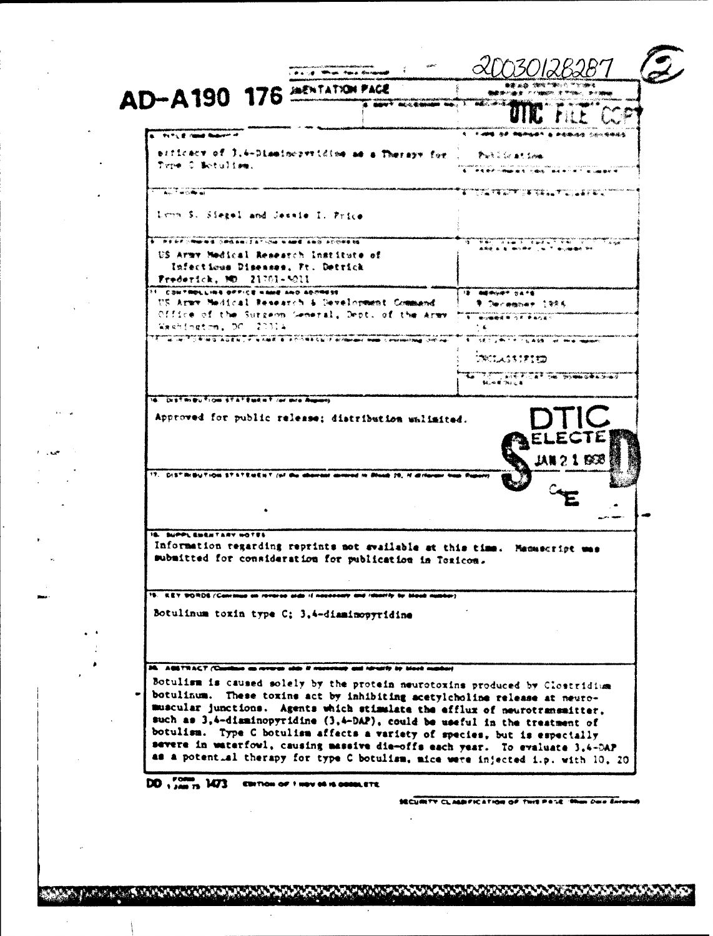| AD-A190 176 MENTATION PACE<br><b>MANY * BE-C. E. SHOULD</b>                                                                                                                                                                                                                                                                                                                                                                                                                                                                                                                                             | (夢・紙器・交響物 か増めった)<br><b>Network Street of the</b>                                                                                                                                                                                                                                                                                                                                                                                                                                            |
|---------------------------------------------------------------------------------------------------------------------------------------------------------------------------------------------------------------------------------------------------------------------------------------------------------------------------------------------------------------------------------------------------------------------------------------------------------------------------------------------------------------------------------------------------------------------------------------------------------|---------------------------------------------------------------------------------------------------------------------------------------------------------------------------------------------------------------------------------------------------------------------------------------------------------------------------------------------------------------------------------------------------------------------------------------------------------------------------------------------|
|                                                                                                                                                                                                                                                                                                                                                                                                                                                                                                                                                                                                         |                                                                                                                                                                                                                                                                                                                                                                                                                                                                                             |
| <b>A CONTRACT COMPOSITION</b><br>biticacy of 3.4-Disatmepyriding as a Therapy for<br>Type C Botuliam.                                                                                                                                                                                                                                                                                                                                                                                                                                                                                                   | 化磷酸二氢汞 的复数网络非常 医 非金融地位 化合成有橡胶型<br>Pack a for all forms<br><b><i><u>Bunday Parket and Arran's</u></i></b>                                                                                                                                                                                                                                                                                                                                                                                    |
| <b>Austin Windows</b><br>Limm S. Siegel and Jessie I. Price                                                                                                                                                                                                                                                                                                                                                                                                                                                                                                                                             | TA TELEVISION LANDING                                                                                                                                                                                                                                                                                                                                                                                                                                                                       |
| PERTY ROOM OF SPEAKITS TOW NAME AND ACCESS<br>US Army Medical Research Institute of<br>Infectious Diseases, Ft. Detrick<br>Frederick, MD 21701-5011                                                                                                                                                                                                                                                                                                                                                                                                                                                     | $A = \frac{1}{2} \left( \frac{1}{2} \right) \left( \frac{1}{2} \right) \left( \frac{1}{2} \right) \left( \frac{1}{2} \right) \left( \frac{1}{2} \right) \left( \frac{1}{2} \right) \left( \frac{1}{2} \right) \left( \frac{1}{2} \right) \left( \frac{1}{2} \right) \left( \frac{1}{2} \right) \left( \frac{1}{2} \right) \left( \frac{1}{2} \right) \left( \frac{1}{2} \right) \left( \frac{1}{2} \right) \left( \frac{1}{2} \right) \left( \frac{1}{2} \right) \left($<br><b>ALCOHOL:</b> |
| 11. COM TROLLING OFFICE HAME AND ADDRESS<br>US Army Medical Research & Development Command.<br>Office of the Surgeon General, Dept. of the Army<br>Washington, DC 20314                                                                                                                                                                                                                                                                                                                                                                                                                                 | 12 8000000 54 TS<br><b>有一种心理地说明 心灵 电电心波力</b>                                                                                                                                                                                                                                                                                                                                                                                                                                                |
| <u>The second companies and the second control of the second control of the second companies of the second control of</u>                                                                                                                                                                                                                                                                                                                                                                                                                                                                               | k strum in de fan de worden<br><b>UNGLASSIFIED</b><br>t (Company and the company of the company of the company of the company of the company of the company of the c<br>ki në heçë                                                                                                                                                                                                                                                                                                          |
|                                                                                                                                                                                                                                                                                                                                                                                                                                                                                                                                                                                                         | <b>JAN 2 1 BER</b>                                                                                                                                                                                                                                                                                                                                                                                                                                                                          |
|                                                                                                                                                                                                                                                                                                                                                                                                                                                                                                                                                                                                         |                                                                                                                                                                                                                                                                                                                                                                                                                                                                                             |
| 16. Drafthiby From STATEMENT /or thre Reports<br>Approved for public release; distribution unlimited.<br>17. DISTORIBUTION STATEMENT (all the aboveous animals in Blood 19, 10 at 100<br>IS. SUPPLEMENTARY HOTEL<br>Information regarding reprints not svailable at this time. Macascript was<br>submitted for consideration for publication in Toxicon.<br>il sanasanan m<br>Botulinum toxin type C; 3,4-diaminopyridine                                                                                                                                                                               |                                                                                                                                                                                                                                                                                                                                                                                                                                                                                             |
| <b>24. AGSTRACT (Constant)</b><br>Botulism is caused solely by the protein neurotoxins produced by Clostridium<br>botulinum. These toxins act by inhibiting acetylcholine release at neuro-<br>muscular junctions. Agents which stimulate the efflux of neurotransmitter,<br>such as 3.4-diaminopyridine (3.4-DAP), could be useful in the treatment of<br>botulism. Type C botulism affects a variety of species, but is espectally<br>severe in waterfowl, causing massive die-offs each year. To evaluate 3.4-DAP<br>as a potential therapy for type C botulism, mice were injected i.p. with 10, 20 |                                                                                                                                                                                                                                                                                                                                                                                                                                                                                             |

**BARA A CONSTRUCTION OF A PARTICULAR CONTRACT OF A CONSTRUCTION OF A PARTICULAR CONTRACT OF A PARTICULAR CONTRACT** 

 $\sim$ 

 $\bullet$ 

 $\ddot{\phantom{0}}$ 

 $\chi$ 

 $\mathcal{F}^{\mu}$  , or (

 $\langle \sigma \rangle$ 

 $\mathbf{e}_i$ 

 $\sim$   $\sim$ ÷  $\pmb{\delta}$  $\lambda$ 

 $\boldsymbol{\beta}$ 

 $\ell \to \omega \ell$  $\epsilon_{\rm{max}}$  $\sim$   $\sim$  $\sim 10^7$ 

 $\sim$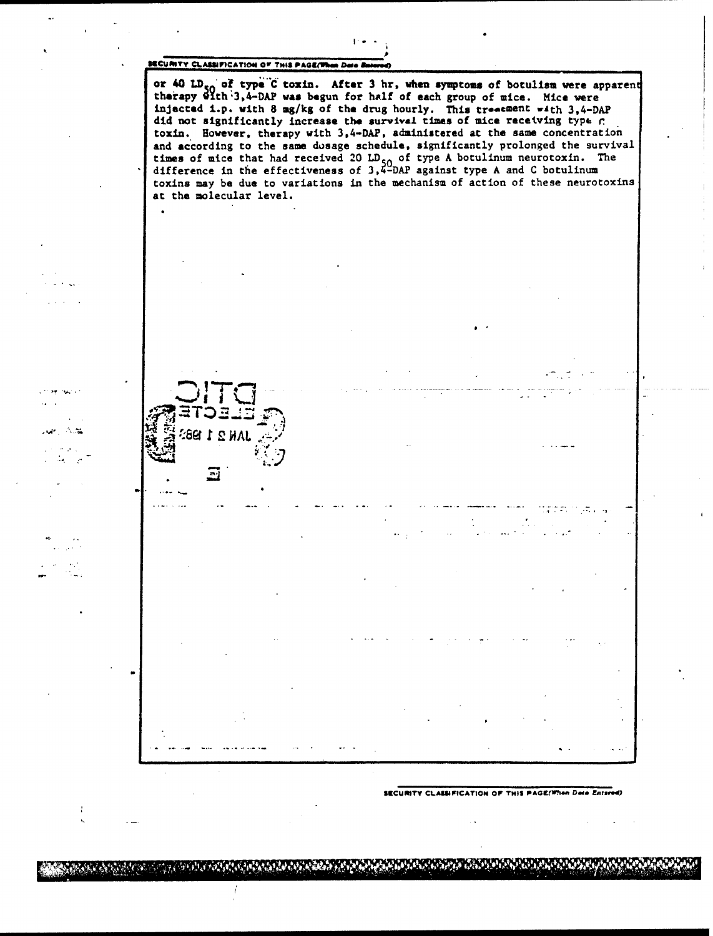#### **SECURITY CLASSIFICATION OF THIS PAGE(When Data in**

or 40 LD<sub>50</sub> of type<sup>"</sup>C toxin. After 3 hr, when symptoms of botulism were apparent **therapy** 4?th-3,4-DAP **was** begun for **halif** of each group of mice. Mice were injected i.p. with 8 mg/kg of the drug hourly. This treatment with 3,4-DAP did not significantly increase the **survival** times of mice receiving type: r toxin. However, therapy with 3,4-DAP, administered at the same concentration and according to the same dosage schedule, significantly prolonged the survival times of mice that had received 20 LD <sub>50</sub> of type A botulinum neurotoxin. The difference in the effectiveness of  $3,4-DAP$  against type A and C botuling toxins may be due to variations in the mechanism of action of these neurotoxins at the molecular level.

51

**ARANG ANTI ACTOR STATE RELATIONS AND THE STATE OF** 

or nurs

**SECURITY CLASSIFICATION OF THIS PAGE(When Data Entered)**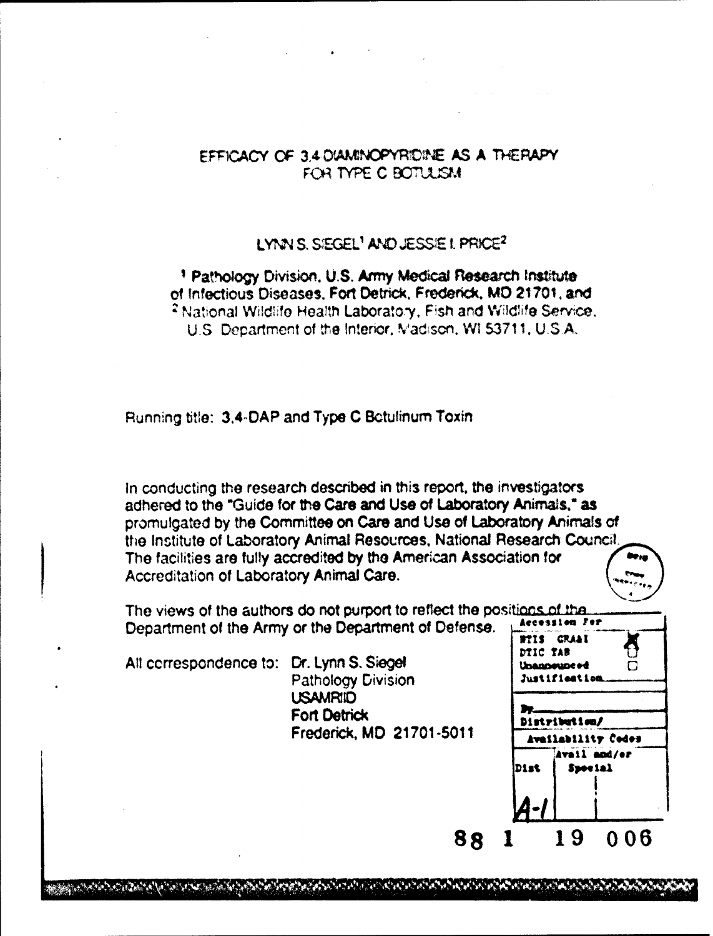# EFFICACY OF 3.4 DIAMINOPYRIDINE AS A THE PAPY FOR TYPE C BOTULSM

# LYNN S. SIEGEL<sup>1</sup> AND JESSIE I. PRICE<sup>2</sup>

## <sup>1</sup> Pathology Division, U.S. Army Medical Research Institute of Infectious Diseases. Fort Detrick, Frederck, MO **21701.** and <sup>2</sup> National Wildlife Health Laboratory, Fish and Wildlife Service. U.S. Department of the Interior, Madison, WI 53711, U.S.A.

Running title: 3,4-DAP and Type C Botulinum Toxin

In conducting the research described in this report, the investigators adhered to the "Guide for the Care and Use of Laboratory Animals." as promulgated **by** the Committee on Care anid Use of Laboratory Animals of the Institute of Laboratory Animal Resources. National Research Council. The facilities are fully accredited **by** the American Association tor Accreditation of Laboratory Animal Care.

The views of the authors do not purport to reflect the positions of the Department of the Army or the Department of Defense.

**All correspondence to: Dr. Lynn S. Siegel University of Unangeless Contract Conducts Conducts Conducts Conducts Conducts Conducts Conducts Conducts Conducts Conducts Conducts Conducts Conducts Conducts Conducts Conducts C** Pathology Division **Just If Institute LISAMRIID Fort Detrick** Frederick, MD 21701-5011 **Pistribution/**<br>Frederick, MD 21701-5011 **Availability Codes** 



AND THE REAL PROPERTY AND REAL PROPERTY AND THE REAL PROPERTY.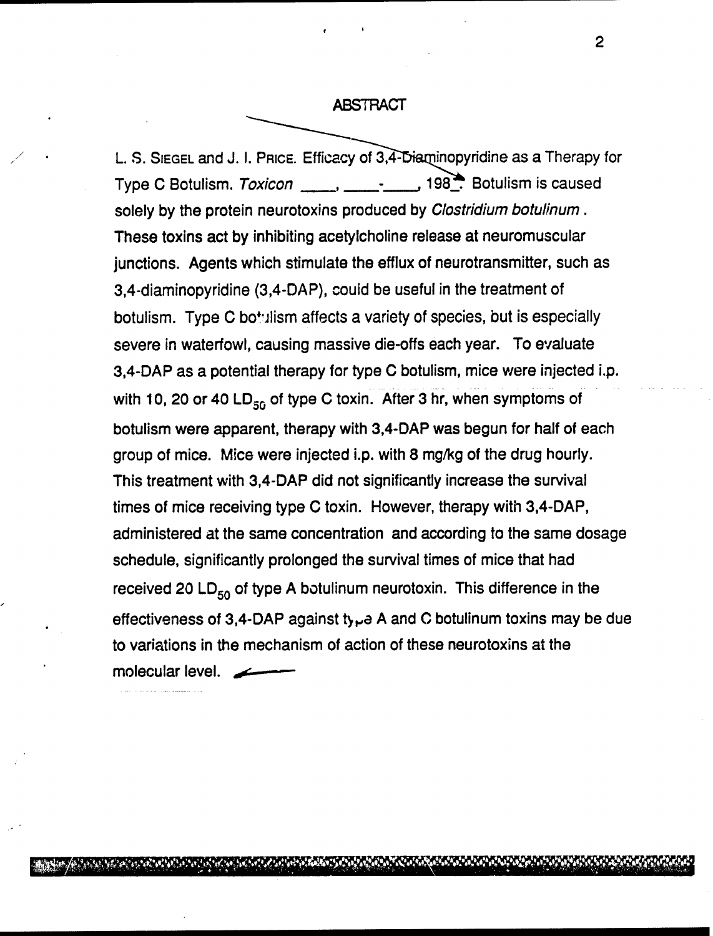## ABSTRACT

L. S. SIEGEL and J. I. PRICE. Efficacy of 3,4-Diaminopyridine as a Therapy for Type C Botulism. *Toxicon* \_\_\_\_\_, \_\_\_\_\_\_\_\_\_\_\_\_\_\_\_\_, 198<sup>2</sup>. Botulism is caused solely by the protein neurotoxins produced by *Clostridium botulinum.* These toxins act by inhibiting acetylcholine release at neuromuscular junctions. Agents which stimulate the efflux of neurotransmitter, such as 3,4-diaminopyridine (3,4-DAP), could be useful in the treatment of botulism. Type C botulism affects a variety of species, but is especially severe in waterfowl, causing massive die-offs each year. To evaluate 3,4-DAP as a potential therapy for type C botulism, mice were injected i.p. with 10, 20 or 40 LD<sub>50</sub> of type C toxin. After 3 hr, when symptoms of botulism were apparent, therapy with 3,4-DAP was begun for half of each group of mice. Mice were injected i.p. with 8 mg/kg of the drug hourly. This treatment with 3,4-DAP did not significantly increase the survival times of mice receiving type C toxin. However, therapy with 3,4-DAP, administered at the same concentration and according to the same dosage schedule, significantly prolonged the survival times of mice that had received 20 LD $_{50}$  of type A botulinum neurotoxin. This difference in the effectiveness of 3,4-DAP against t<sub>y</sub>  $\mu$  A and C botulinum toxins may be due to variations in the mechanism of action of these neurotoxins at the molecular level.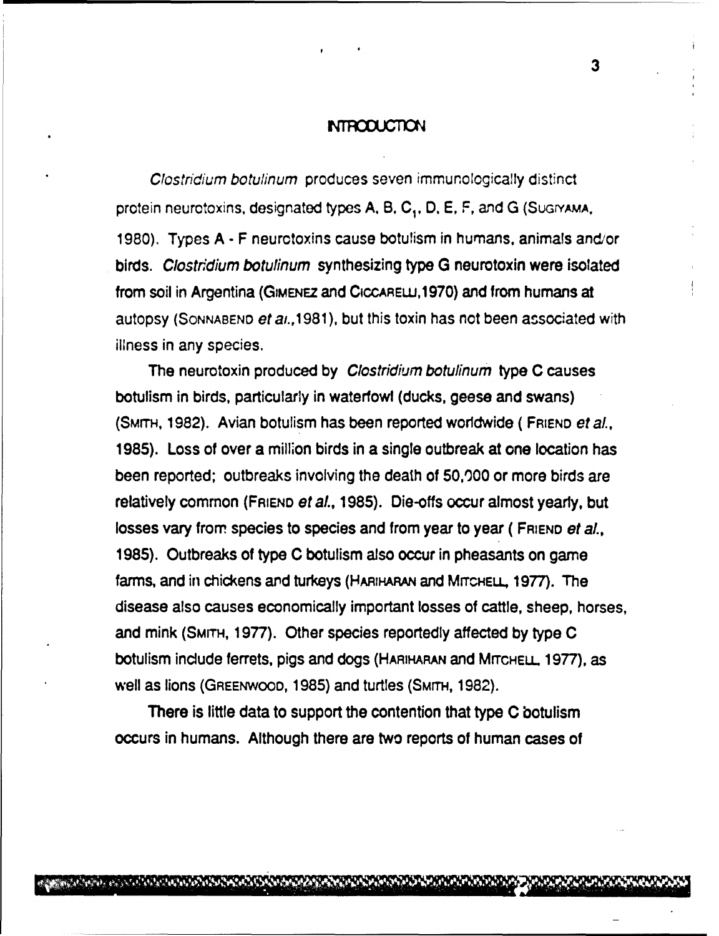## **MTFCUCTION**

*Clostridium botulinum* produces seven immunologically distinct protein neurotoxins, designated types A, B, **C1,** D, **E,** F, and G **(SUGYAMA,** 1980). Types A **-** F neurotoxins cause botulism in humans, animals and/or birds. *Clostridium botulinum* synthesizing type G neurotoxin were isolated from soil in Argentina (GIMENEZ and CICCARELU,1970) and from humans at autopsy (SONNABEND *et ai.,1981),* but this toxin has not been associated with illness in any species.

The neurotoxin produced by *Clostridium botulinum* type C causes botulism in birds, particularly in waterfowl (ducks, geese and swans) (SMITH, 1982). Avian botulism has been reported worldwide **(** FRIEND *et al.,* 1985). Loss of over a million birds in a single outbreak at one location has been reported; outbreaks involving the death of 50,000 or more birds are relatively common (FRIEND *et al.,* 1985). Die-offs occur almost yearly, but losses vary from species to species and from year to year (FRIEND *et al.,* 1985). Outbreaks of type C botulism also occur in pheasants on game farms, and in chickens and turkeys (HARIHARAN and MrrcHELL, 1977). The disease also causes economically important losses of cattle, sheep, horses, and mink (SMITH, 1977). Other species reportedly affected by type C botulism include ferrets, pigs and dogs (HARIHARAN and MITCHELL, 1977), as well as lions (GREENWOOD, 1985) and turtles (SMrrH, 1982).

There is little data to support the contention that type C botulism occurs in humans. Although there are two reports of human cases of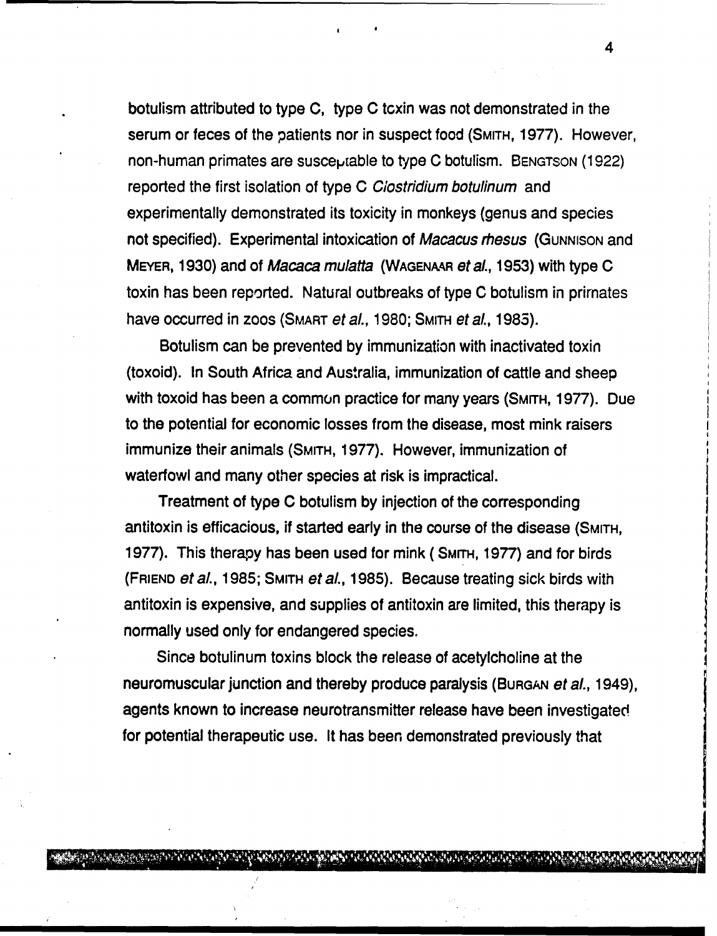botulism attributed to type C, type C toxin was not demonstrated in the serum or feces of the patients nor in suspect food (SMITH, 1977). However, non-human primates are susceptable to type C botulism. BENGTSON  $(1922)$ reported the first isolation of type C *Clostridium botulinum* and experimentally demonstrated its toxicity in monkeys (genus and species not specified). Experimental intoxication of *Macacus rhesus* (GUNNISON and MEYER, 1930) and of *Macaca mulatta* (WAGENAAR et al., 1953) with type C toxin has been reported. Natural outbreaks of type C botulism in primates have occurred in zoos (SMART *et al.,* 1980; SMITH *et al.,* 1983).

Botulism can be prevented by immunization with inactivated toxin (toxoid). In South Africa and Australia, immunization of cattle and sheep with toxoid has been a common practice for many years (SMITH, 1977). Due to the potential for economic losses from the disease, most mink raisers immunize their animals (SMITH, 1977). However, immunization of waterfowl and many other species at risk is impractical.

Treatment of type C botulism by injection of the corresponding antitoxin is efficacious, if started early in the course of the disease (SMITH, 1977). This therapy has been used for mink (SMITH, 1977) and for birds (FRIEND *et al.,* 1985; SMITH *et al.,* 1985). Because treating sick birds with antitoxin is expensive, and supplies of antitoxin are limited, this therapy is normally used only for endangered species.

Since botulinum toxins block the release of acetylcholine at the neuromuscular junction and thereby produce paralysis (BURGAN *et al.,* 1949), agents known to increase neurotransmitter release have been investigated. for potential therapeutic use. It has been demonstrated previously that

/£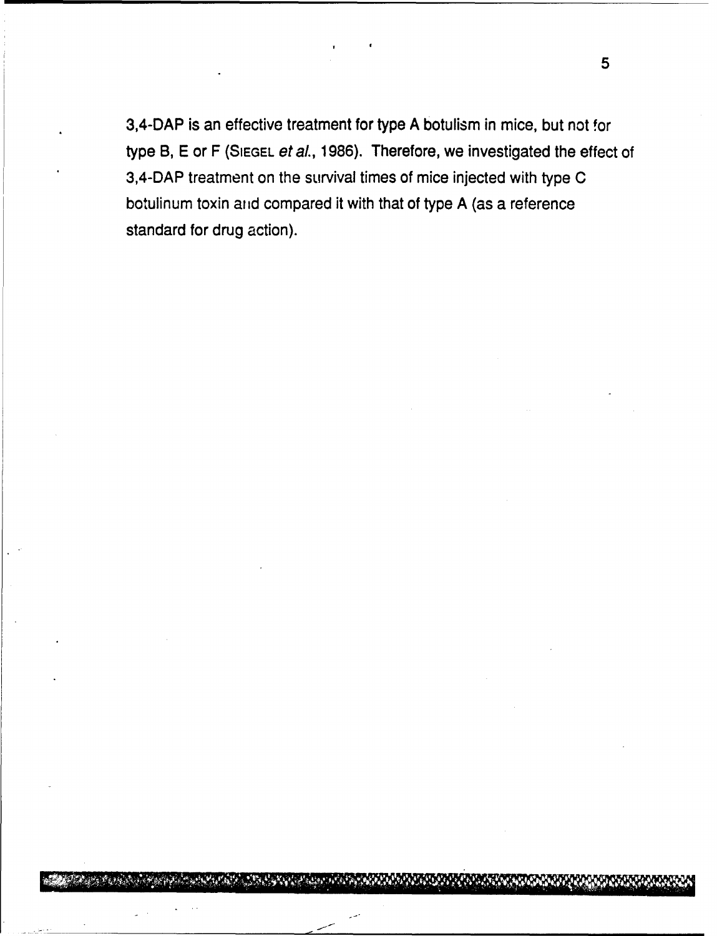3,4-DAP is an effective treatment for type A botulism in mice, but not for type B, **E** or F (SIEGEL *et aL,* 1986). Therefore, we investigated the effect of 3,4-DAP treatment on the survival times of mice injected with type C botulinum toxin anid compared it with that of type A (as a reference standard for drug action).

**CALLES AND STREET** 

**Arien Marchan**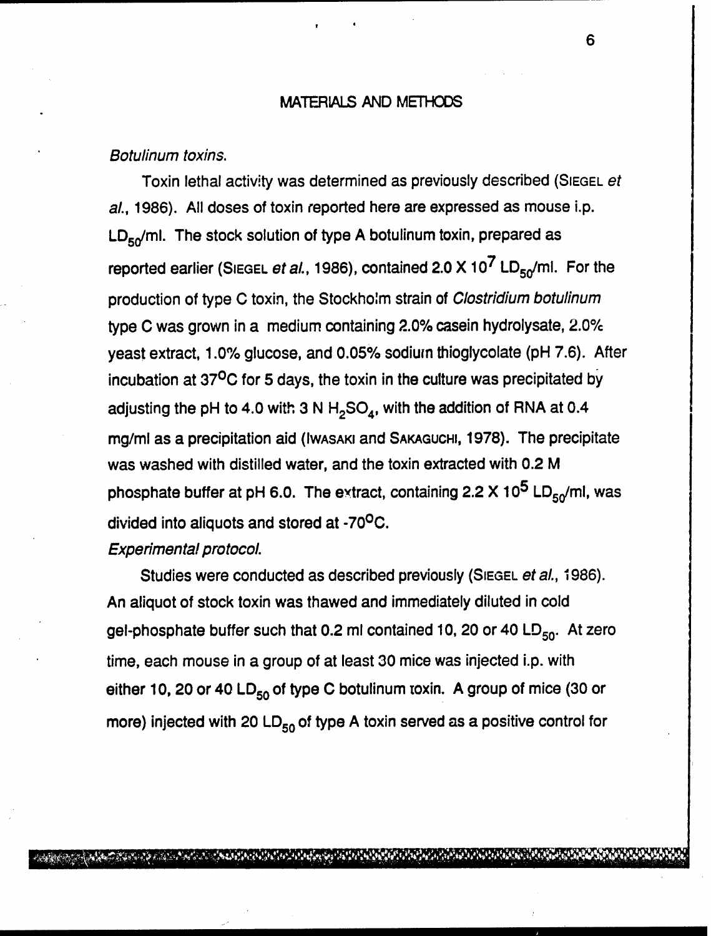## MATERIALS AND METHODS

## *Botulinum toxins.*

Toxin lethal activity was determined as previously described (SIEGEL *et* al., 1986). All doses of toxin reported here are expressed as mouse i.p. LD<sub>50</sub>/ml. The stock solution of type A botulinum toxin, prepared as reported earlier (SIEGEL *et al.*, 1986), contained 2.0 X 10<sup>7</sup> LD<sub>50</sub>/ml. For the production of type C toxin, the Stockholm strain of *Clostridium botulinum* type C was grown in a medium containing 2.0% casein hydrolysate, 2.0% yeast extract, 1.0% glucose, and 0.05% sodium thioglycolate (pH 7.6). After incubation at **370C** for 5 days, the toxin in the culture was precipitated by adjusting the pH to 4.0 with 3 N  $H_2SO_4$ , with the addition of RNA at 0.4 mg/ml as a precipitation aid (IWASAKI and SAKAGUCHI, 1978). The precipitate was washed with distilled water, and the toxin extracted with 0.2 M phosphate buffer at pH 6.0. The extract, containing 2.2 X 10<sup>5</sup> LD<sub>50</sub>/ml, was divided into aliquots and stored at -70<sup>o</sup>C.

## *Experimental protocol.*

A SA SHEARANA AN SIOMAIL ANN AN AIR AN AN AIR AN AIR AN AIR AN AIR AN AIR AN AIR AN AIR AN AIR AN AIR AN AIR A

Studies were conducted as described previously (SIEGEL *et al.,* 1986). An aliquot of stock toxin was thawed and immediately diluted in cold gel-phosphate buffer such that 0.2 ml contained 10, 20 or 40 **LD50.** At zero time, each mouse in a group of at least 30 mice was injected i.p. with either 10, 20 or 40 LD $_{50}$  of type C botulinum toxin. A group of mice (30 or more) injected with 20 LD<sub>50</sub> of type A toxin served as a positive control for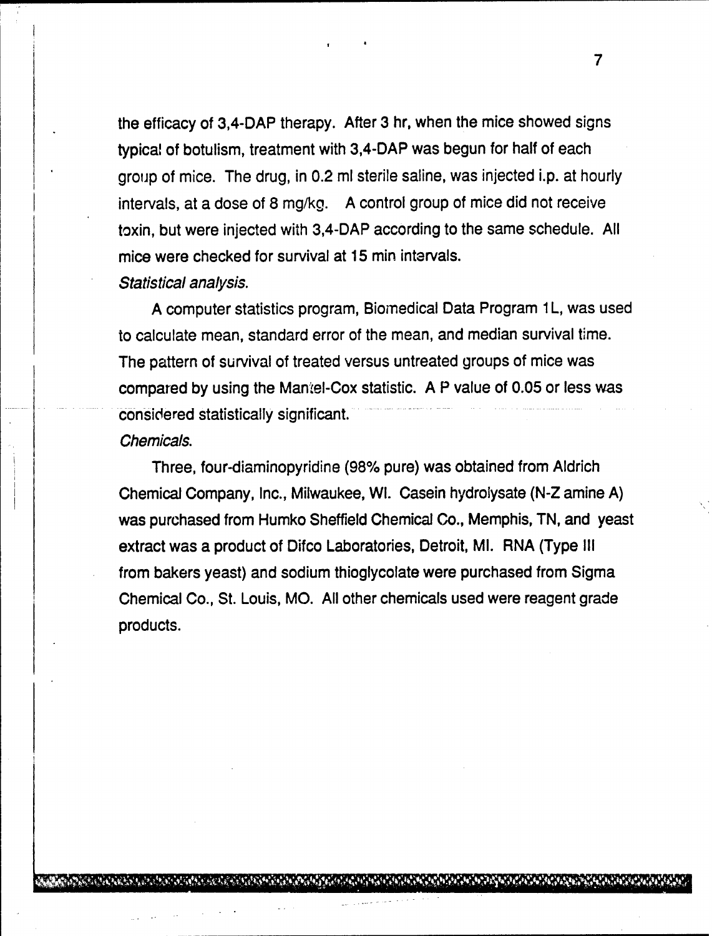the efficacy of 3,4-DAP therapy. After 3 hr, when the mice showed signs typical of botulism, treatment with 3,4-DAP was begun for half of each group of mice. The drug, in 0.2 ml sterile saline, was injected i.p. at hourly intervals, at a dose of 8 mg/kg. A control group of mice did not receive toxin, but were injected with 3,4-DAP according to the same schedule. All mice were checked for survival at 15 min intarvals. *Statistical analysis.*

A computer statistics program, Biomedical Data Program 1L, was used to calculate mean, standard error of the mean, and median survival time. The pattern of survival of treated versus untreated groups of mice was compared by using the Mantel-Cox statistic. A P value of 0.05 or less was considered statistically significant.

#### *Chemicals.*

Three, four-diaminopyridine (98% pure) was obtained from Aldrich Chemical Company, Inc., Milwaukee, WI. Casein hydrolysate (N-Z amine A) was purchased from Humko Sheffield Chemical Co., Memphis, TN, and yeast extract was a product of Difco Laboratories, Detroit, MI. RNA (Type **III** from bakers yeast) and sodium thioglycolate were purchased from Sigma Chemical Co., St. Louis, MO. All other chemicals used were reagent grade products.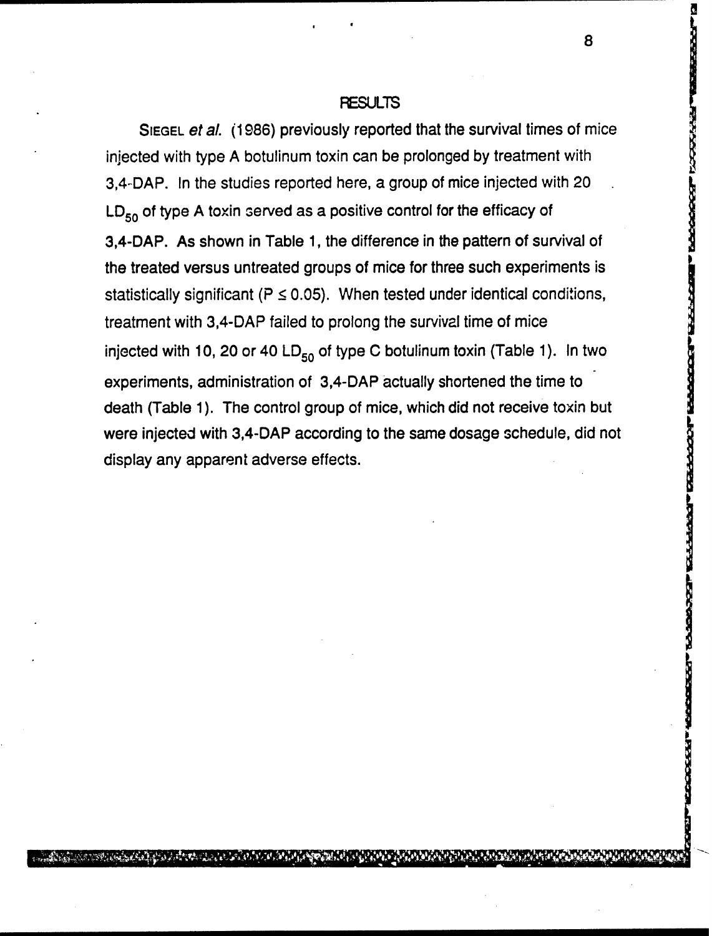## **RESULTS**

**SIEGEL** *et al.* (1986) previously reported that the survival times of mice injected with type A botulinum toxin can be prolonged by treatment with 3,4-DAP. In the studies reported here, a group of mice injected with 20 **LD50** of type A toxin served as a positive control for the efficacy of 3,4-DAP. As shown in Table 1, the difference in the pattern of survival of the treated versus untreated groups of mice for three such experiments is statistically significant ( $P \le 0.05$ ). When tested under identical conditions, treatment with 3,4-DAP failed to prolong the survival time of mice injected with 10, 20 or 40 LD<sub>50</sub> of type C botulinum toxin (Table 1). In two experiments, administration of 3,4-DAP actually shortened the time to death (Table 1). The control group of mice, which did not receive toxin but statistically significant ( $P \le 0.05$ ). When tested under identical conditions,<br>treatment with 3,4-DAP failed to prolong the survival time of mice<br>injected with 10, 20 or 40 LD<sub>50</sub> of type C botulinum toxin (Table 1). In

**INGLES IN ALSONE** 

ちょうひょうひょう ちょうしょう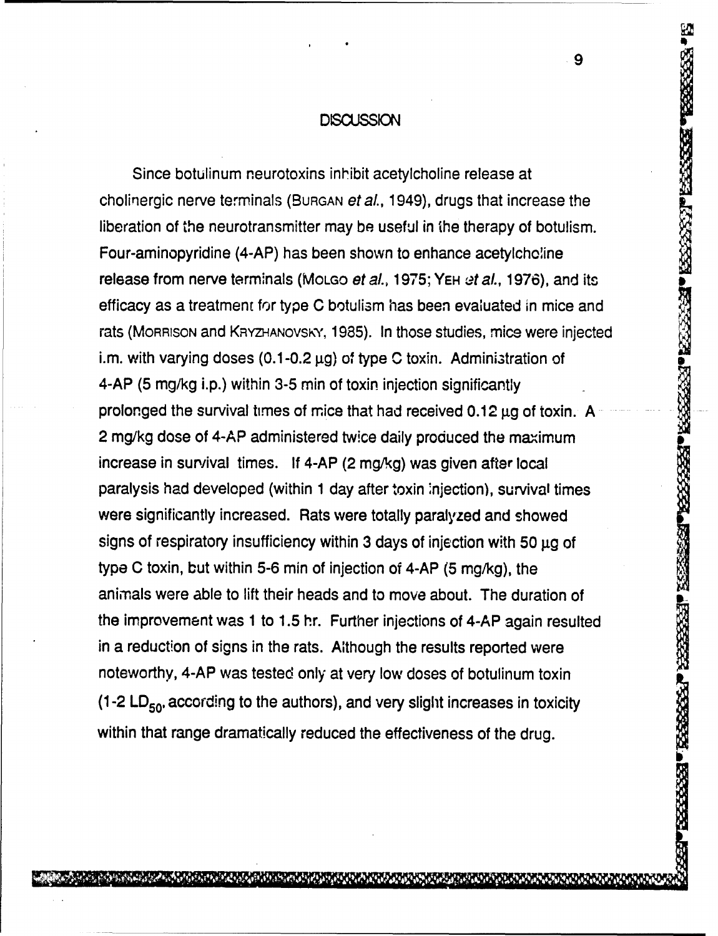### **DISCUSSION**

Since botulinum neurotoxins inhibit acetyicholine release at cholinergic nerve terminals (BURGAN et al., 1949), drugs that increase the liberation of the neurotransmitter may be useful in the therapy of botulism. Four-aminopyridine (4-AP) has been shown to enhance acetylcholine release from nerve terminals (MoLGO *et al.*, 1975; YEH *et al.*, 1976), and its efficacy as a treatment for type C botulism has been evaluated in mice and rats (MORRISON and KRYZHANOVSKY, 1985). In those studies, mice were injected i.m. with varying doses (0.1-0.2 **gg)** of type C toxin. Administration of 4-AP (5 mg/kg i.p.) within 3-5 min of toxin injection significantly prolonged the survival times of mice that had received 0.12  $\mu$ g of toxin. A 2 mg/kg dose of 4-AP administered twice daily produced the maximum increase in survival times. If 4-AP (2 mg/kg) was given after local paralysis had developed (within 1 day after toxin injection), survival times were significantly increased. Rats were totally paralyzed and showed signs of respiratory insufficiency within 3 days of injection with 50 **gg** of type C toxin, but within 5-6 min of injection of 4-AP (5 mg/kg), the animals were able to lift their heads and to move about. The duration of the improvement was 1 to 1.5 hr. Further injections of 4-AP again resulted in a reduction of signs in the rats. Although the results reported were noteworthy, 4-AP was tested only at very low doses of botulinum toxin (1-2 LD<sub>50</sub>, according to the authors), and very slight increases in toxicity within that range dramatically reduced the effectiveness of the drug.

RABA ESSAS La Social de la Social de la Social de la Social de la Social de la Social de la Social d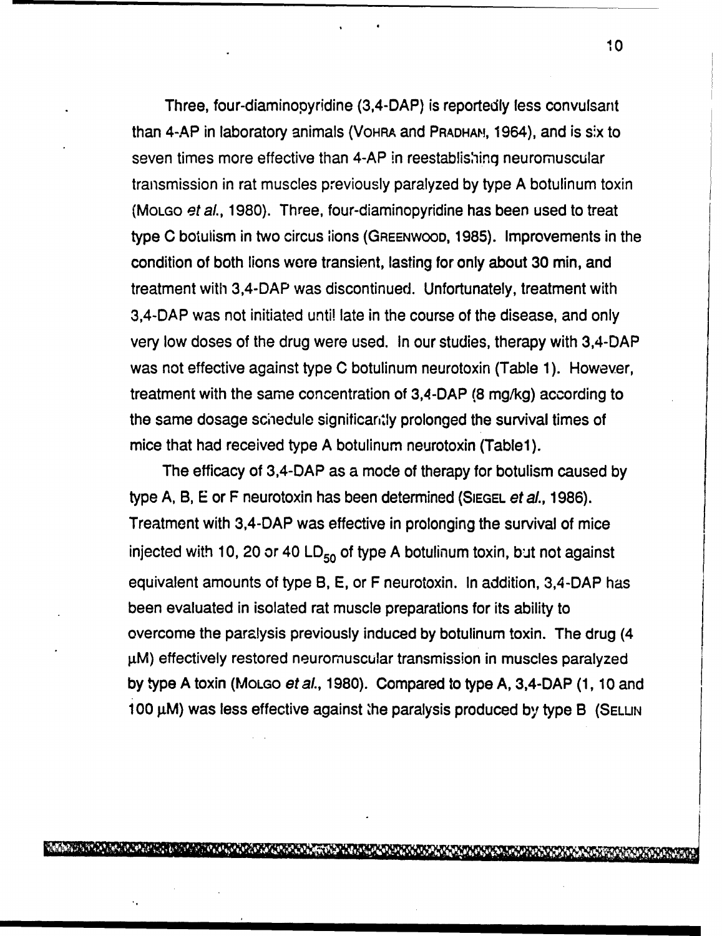Three, four-diaminopyridine (3,4-DAP) is reportedly less convulsant than 4-AP in laboratory animals (VoHRA and PRADHAM, 1964), and is six to seven times more effective than 4-AP in reestablishinq neuromuscular transmission in rat muscles previously paralyzed by type A botulinum toxin (Molgo et al., 1980). Three, four-diaminopyridine has been used to treat type C botulism in two circus ions (GREENWOOD, 1985). Improvements in the condition of both lions wore transient, lasting for only about 30 min, and treatment with 3,4-DAP was discontinued. Unfortunately, treatment with 3,4-DAP was not initiated unti! late in the course of the disease, and only very low doses of the drug were used. In our studies, therapy with 3,4-DAP was not effective against type C botulinum neurotoxin (Table 1). However, treatment with the same concentration of 3,4-DAP (8 mg/kg) according to the same dosage schedule significantly prolonged the survival times of mice that had received type A botulinum neurotoxin (Table1).

The efficacy of 3,4-DAP as a mode of therapy for botulism caused by type A, B, E or F neurotoxin has been determined (SIEGEL et al., 1986). Treatment with 3,4-DAP was effective in prolonging the survival of mice injected with 10, 20 or 40 LD<sub>50</sub> of type A botulinum toxin, but not against equivalent amounts of type B, E, or F neurotoxin. In addition, 3,4-DAP has been evaluated in isolated rat muscle preparations for its ability to overcome the paralysis previously induced by botulinum toxin. The drug (4 **gM)** effectively restored neuromuscular transmission in muscles paralyzed by type A toxin (MOLGO *et aL,* 1980). Compared to type A, 3,4-DAP (1, 10 and 100  $\mu$ M) was less effective against the paralysis produced by type B (SELLIN

and the strategy of the state of the strategy of the strategy of the strategy of the strategy of the strategy of the strategy of the strategy of the strategy of the strategy of the strategy of the strategy of the strategy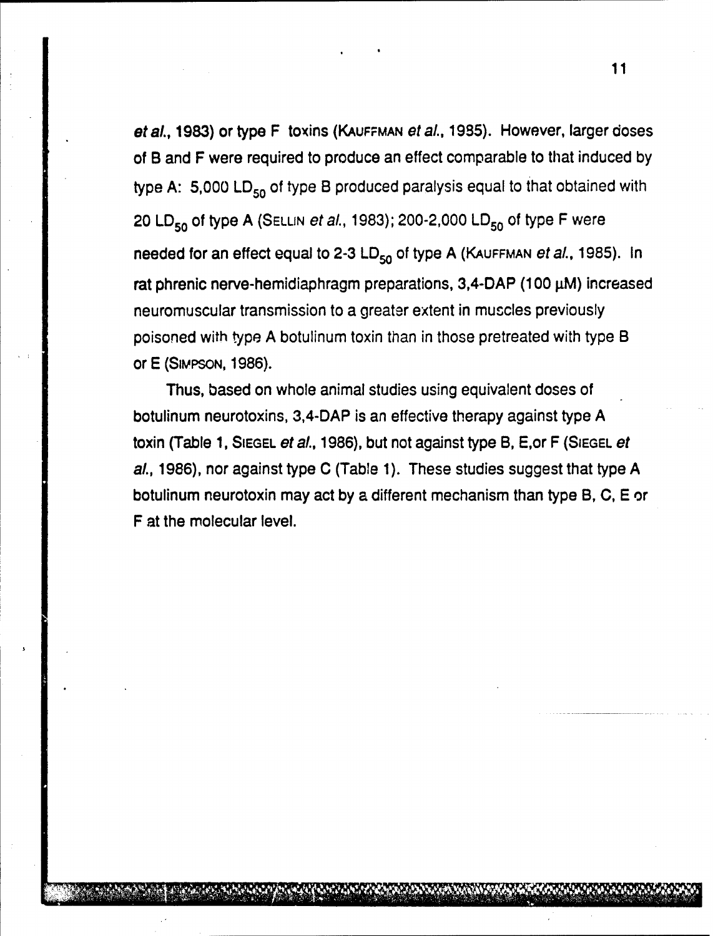*etal.,* **1983)** or type F toxins (KAUFFMAN *et* al., 1985). However, larger doses of B and F were required to produce an effect comparable to that induced by type A: 5,000 LD<sub>50</sub> of type B produced paralysis equal to that obtained with 20 LD<sub>50</sub> of type A (SELLIN *et al.*, 1983); 200-2,000 LD<sub>50</sub> of type F were needed for an effect equal to 2-3 LD<sub>50</sub> of type A (KAUFFMAN *et al.*, 1985). In rat phrenic nerve-hemidiaphragm preparations,  $3,4$ -DAP (100  $\mu$ M) increased neuromuscular transmission to a greater extent in muscles previously poisoned with type A botulinum toxin than in those pretreated with type B or E (SiMPSoN, 1986).

Thus, based on whole animal studies using equivalent doses of botulinum neurotoxins, 3,4-DAP is an effective therapy against type A toxin (Table 1, **SIEGEL** *et al.,* 1986), but not against type B, E,or F **(SIEGEL** et al., 1986), nor against type C (Table 1). These studies suggest that type A botulinum neurotoxin may act by a different mechanism than type B, C, E or F at the molecular level.

**II I 1 1 1 q1 jý 11 11 111**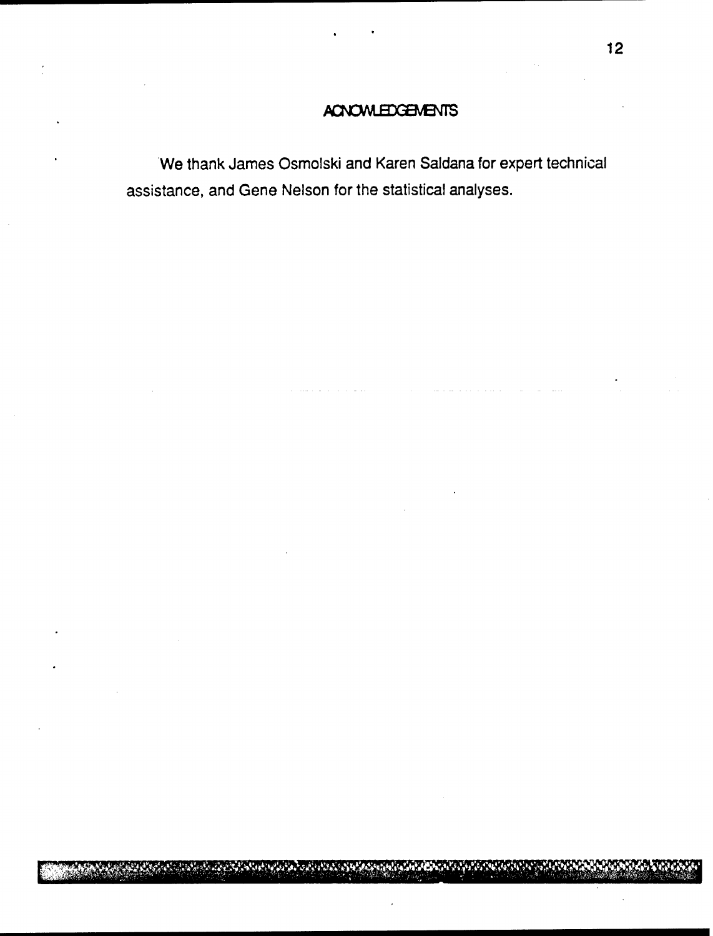## **ACNOWLEDGEMENTS**

**i I 11 ' 11' 0 113 4 11 110 2 11 1,111 1 1 110**

We thank James Osmolski and Karen Saldana for expert technical assistance, and Gene Nelson for the statistical analyses.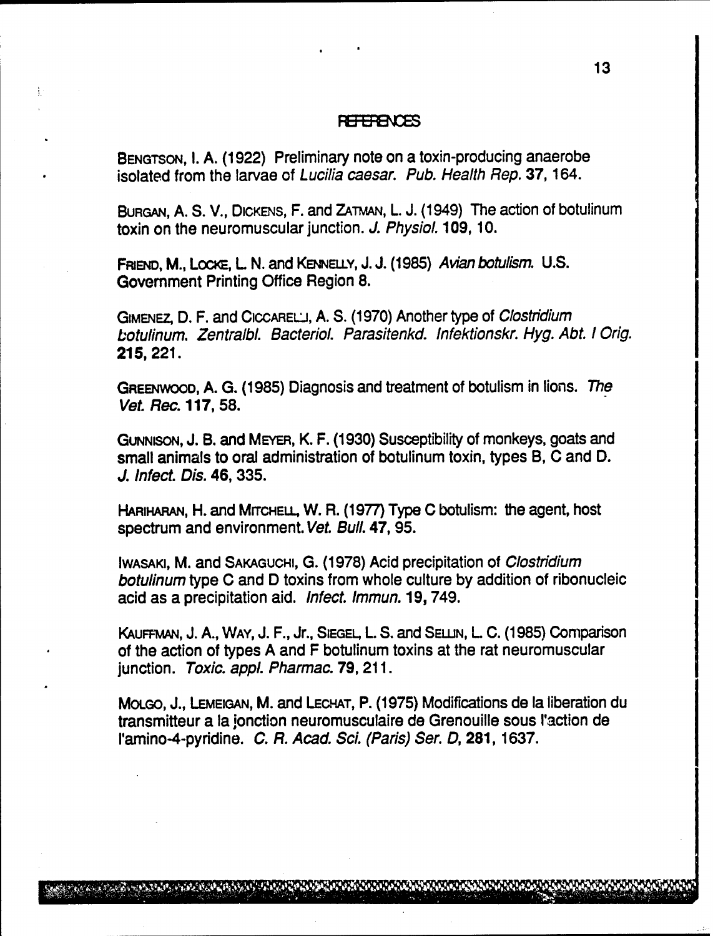#### **REFERENCES**

BENGTSON, I. A. (1922) Preliminary note on a toxin-producing anaerobe isolated from the larvae of *Lucilia caesar. Pub. Health Rep.* **37,164.**

BURGAN, A. S. V., DICKENS, F. and ZATMAN, L. J. (1949) The action of botulinum toxin on the neuromuscular junction. *J. Physiol.* **109, 10.**

**FRIEND,** M., LOCKE, L N. and KENNELLY, J. J. (1985) *Avian botulism.* U.S. Government Printing Office Region 8.

GIMENEZ, D. F. and CICCARELU, A. S. (1970) Another type of *Clostridium botulinum. Zentralbi BacterioL Parasitenkd. lnfektionskr. Hyg. Abt. I Orig.* 215,221.

GREENWOOD, A. G. (1985) Diagnosis and treatment of botulism in lions. The *Vet. Rec.* 117, 58.

GuNNIsoN, **J.** B. and MEYER, K. F. (1930) Susceptibility of monkeys, goats and small animals to oral administration of botulinum toxin, types B, **C** and D. *J. Infect. Dis.* 46, **335.**

HARIHARAN, H. and MITCHELL, W. R. (1977) Type C botulism: the agent, host spectrum and environment. *Vet. Bull.* 47, **95.**

IWASAKI, M. and SAKAGUCHI, G. (1978) Acid precipitation of *Clostridium botulinum* type C and D toxins from whole culture by addition of ribonucleic acid as a precipitation aid. *Infect. Immun.* 19, 749.

**KAuFFmA,** J. A., WAY, **J.** F., Jr., SIEGEL, L. **S.** and SEWLN, L **C.** (1985) Comparison of the action of types A and F botulinum toxins at the rat neuromuscular junction. *Toxic. appl. Pharmac.* **79,** 211.

MOLGO, **J., LEMEIGAN,** M. and **LECHAT,** P. (1975) Modifications de la liberation du transmitteur a la jonction neuromusculaire de Grenouille sous l'action de l'arnino-4-pyridine. *C. R. Acad. Sci. (Paris) Ser. D,* **281, 1637.**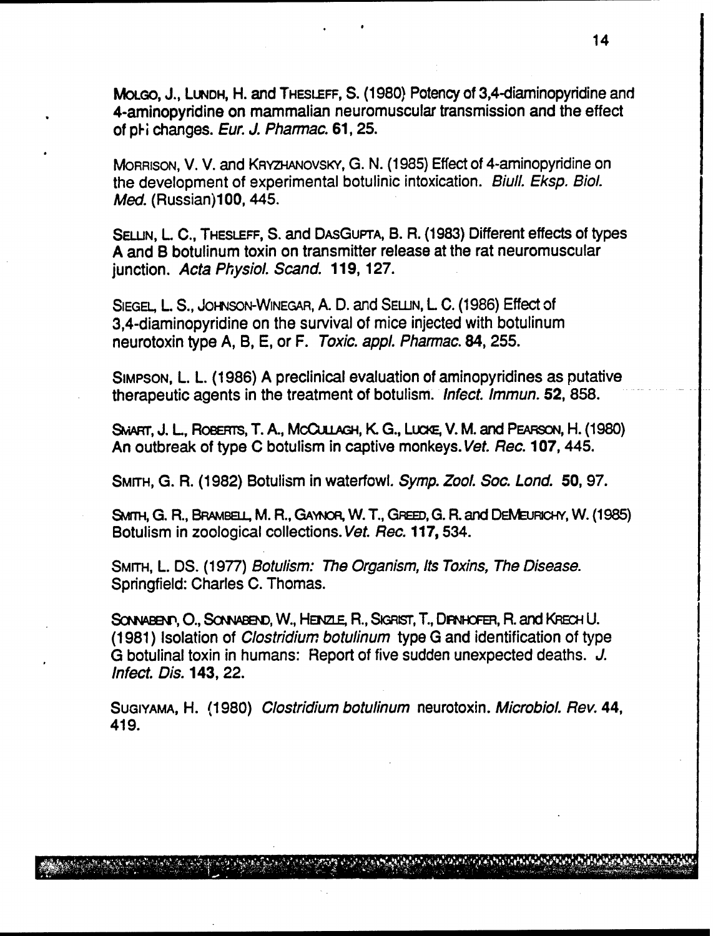Mouw, **J., LUNDH,** H. and **THESLEFF, S. (1980)** Potency **of** 3,4-diaminopyridine and 4-aminopyridine on mammalian neuromuscular transmission and the effect of pH changes. Eur. **J.** Pharmac. **61,** 25.

MORRISON, V. V. and KR:YzHANovsKY, **G. N. (1985)** Effect of 4-aminopyridine on the development of experimental botulinic intoxication. Biull. Eksp. Biol. Med. (Russian)100, 445.

**SELUN,** L **C., THESLEFF, S.** and DAsGuPTA, B. R. **(1983)** Different effects of types **A** and B botulinum toxin on transmitter release at the rat neuromuscular junction. Acta Physiol. Scand. **119, 127.**

SIEGEL, L. **S., JOHNSO-INEGAR, A. D.** and **SEWN,** L **C. (1986)** Effect of 3,4-diaminopyridine on the survival of mice injected with botulinum neurotoxin type **A,** B, **E,** or F. Toxic. appi. Pharmac. 84, **255.**

**SIMPSON,** L. L. **(1986) A** preclinical evaluation of aminopyridines as putative therapeutic agents in the treatment of botulism. Infect. Immun. **52, 858.**

SMART, **J. L., ROBERTS, T. A., McCULLAGH, K. G., LUCKE, V. M. and PEARSON, H. (1980)** An outbreak of type **C** botulism in captive monkeys. Vet. Rec. **107, 445.**

SMITH, **G.** R. **(1982)** Botulism in waterfowl. Symp. Zoo!. Soc. Lond. **50, 97.**

**SMTH, G. R., BRAMBELL, M. R., GAYNOR, W. T., GREED, G. R. and DEMEURICHY, W. (1985)** Botulism in zoological collections. Vet. Rec. **117, 534.**

SMITH, L. **DS. (1977)** *Botulism:* The Organism, Its Toxins, The Disease. Springfield: Charles **C.** Thomas.

SONNABBND, O., SONNABEND, W., HENZLE, R., SIGRIST, T., DIRNHOFER, R. and KRECH U. **(1981)** Isolation of Clostridium. botulinum type **G** and identification of type **G** botulinal toxin in humans: Report of five sudden unexpected deaths. **J.** Infect. Dis. 143, 22.

**SUGIVAMA,** H. **(1980)** *Clostridium botulinum* neurotoxin. *Microbial Rev.* **44, 419.**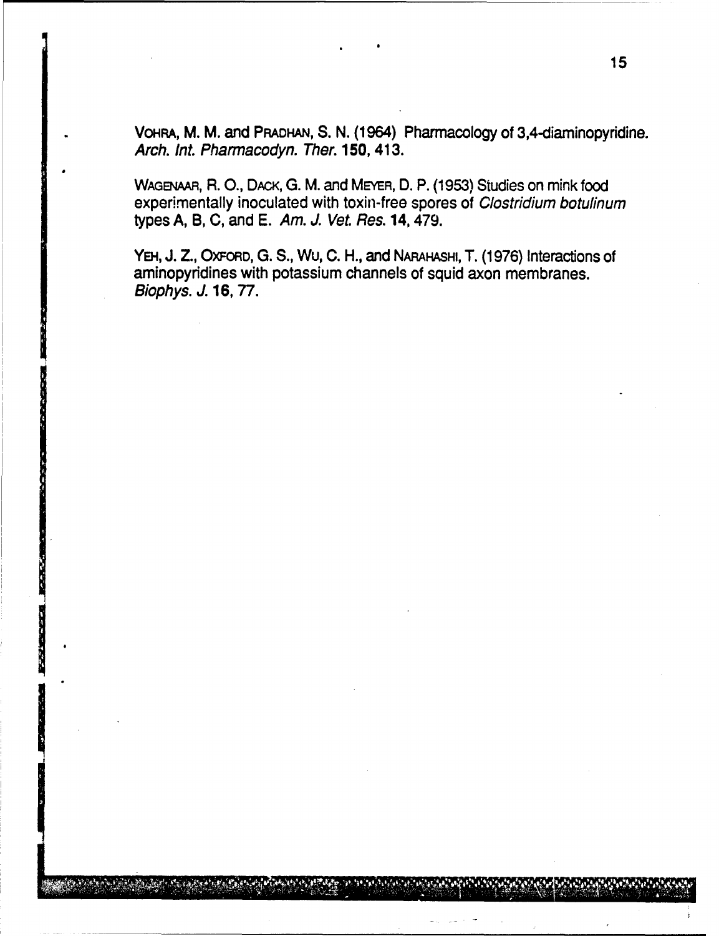VoHRA, M. M. and PRADHAN, S. N. (1964) Pharmacology of 3,4-diaminopyridine. Arch. *nt.* Pharmacodyn. Ther. **150,413.**

**WAGeLAMR,** R. **0., DACK, G.** M. and **MEYER, D.** P. **(1953)** Studies on mink food experimentally inoculated with toxin-free spores of Clostridium botulinum types **A,** B, **C,** and **E.** Am. **J.** Vet. Res. **14,479.**

YEH, **J. Z., OXFORD, G. S., Wu, C.** H., and **NARAHASHI,** T. **(1976)** Interactions of aminopyridines with potassium channels of squid axon membranes. Biophys. **J. 16, 77.**